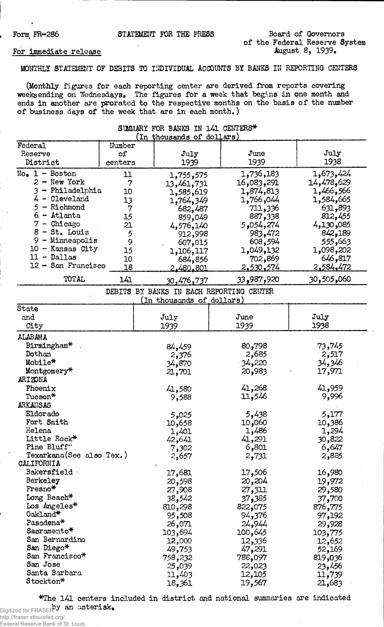Form; FR-286 STATEMENT FOR THE PRESS Board of Governors of the Federal Reserve System August 8, 1939.

## For immediate release

## MONTHLY STATEMENT OF DEBITS TO INDIVIDUAL ACCOUNTS BY BANKS IN REPORTING CENTERS

(Monthly figures for each reporting center are derived from reports covering weeks ending on Wednesdays. The figures for a week that begins in one month and ends in another are prorated to the respective months on the basis of the number of business days of the week that are in each month.)

|                                        |                  | SUMMARY FOR BANKS IN 141 CENTERS* |                  |              |
|----------------------------------------|------------------|-----------------------------------|------------------|--------------|
|                                        |                  | (In thousands of dollars)         |                  |              |
| Federal.                               | Number           |                                   |                  |              |
| Reserve                                | of               | $\mathbf{July}$                   | June             | July         |
| District                               | centers          | 1939                              | 1939             | 1938         |
| $No_{\bullet}$ 1 - Boston              |                  |                                   |                  |              |
|                                        | 11               | 1,755,575                         | 1,736,183        | 1,673,424    |
| $2 - New York$                         | $\overline{7}$   | 13,461,731                        | 16,083,291       | 14,478,629   |
| 3 - Philadelphia                       | 10               | 1,585,619                         | 1,874,813        | 1,466,566    |
| $4$ - Cleveland                        | 13               | 1,764,349                         | 1,766,044        | 1,584,665    |
| $5 -$ Richmond                         | $\boldsymbol{7}$ | 682,487                           | 711,336          | 631,893      |
| $6 -$ Atlanta                          | 15               | 859,049                           | 887,338          | 812,455      |
| $7 -$ Chicago                          | 21               | 4,576,140                         | 054,274ج         | 4,130,085    |
| $8 - St.$ Louis                        | 5                | 912,998                           | 983,472          | 842,189      |
| 9 - Minneapolis                        | 9                | 607,015                           | 608,594          | 555,663      |
| $10 -$ Kansas City                     | 15               | 1,106,117                         | 1,049,132        | 1,098,202    |
| $11 - Dallas$                          | 10               | 684,856                           | 702,869          | 646,817      |
| 12 - San Francisco                     | 18               | <u>2.480.801</u>                  | <u>2,530,574</u> | 2,584,472    |
| TOTAL                                  | 141              | 30,476 <b>,</b> 737               | 33,987,920       | 060, 505, 30 |
|                                        | DEBITS           | BY BANKS IN EACH REPORTING CENTER |                  |              |
|                                        |                  | (In thousands of dollars)         |                  |              |
| State                                  |                  |                                   |                  |              |
| and                                    |                  | July                              | June             | July         |
| City                                   |                  | 1939                              | 1939             | 1938         |
| ALABAMA                                |                  |                                   |                  |              |
| Birmingham*                            |                  | 84,459                            | 80,798           | 73,745       |
| Dothan                                 |                  | 2,376                             | 2,685            | 2,517        |
| Mobile*                                |                  | 34,870                            | $-34,220$        | 34,346       |
| Montgomery*                            |                  | 21,701                            | 20,983           | 17,971       |
| ARIZONA                                |                  |                                   |                  |              |
| Phoenix                                |                  | 41,580                            | 41,268           | 41,959       |
| Tucson*                                |                  | 9,588                             | 11,546           | 9,996        |
| ARKANSAS                               |                  |                                   |                  |              |
| Eldorado                               |                  |                                   |                  |              |
| Fort Smith                             |                  | 5,025                             | 5,438            | 5,177        |
|                                        |                  | 10,658                            | 060, 10          | 10,386       |
| Helena                                 |                  | 1,401                             | 1,486            | 1,294        |
| Little Rock*                           |                  | 42,641                            | 41,291           | 30,822       |
| Pine Bluff <sup>"</sup>                |                  | 7,302                             | 6,801            | 6,647        |
| Texarkana(See also Tex.)<br>CALIFORNIA |                  | 2,657                             | 2,731            | 2,885        |
| Bakersfield .                          |                  |                                   |                  |              |
|                                        |                  | 17,681                            | 17,506           | 16,980       |
| Berkeley                               |                  | 20,598                            | 20,204           | 19,972       |
| Fresno*                                |                  | 27,908                            | 27,311           | 29,580       |
| Long Beach*                            |                  | 38,542                            | 37,385           | 37,700       |
| Los Angeles*                           |                  | 810,298                           | 822,075          | 876,775      |
| Oakland*                               |                  | 95,508                            | 94,376           | 97,192       |
| Pasadena*                              |                  | 26,071                            | 24,944           | 29,928       |
| Sacramento*                            |                  | 103,694                           | 100,645          | 103,775      |
| San Bernardino                         |                  | 12,000                            | 12,336           | 12,652       |
| San Diego*                             |                  | 49,753                            | 47,291           | 52,169       |
| San Francisco*                         |                  | 758,232                           | 788,097          | 819,036      |
| San Jose                               |                  | 25,039                            | 22,023           | 23,456       |
| Santa Barbara                          |                  | 11,403                            | 12,105           | 11,739       |
| Stockton*                              |                  | 18,361                            | 19,567           | 21,683       |
|                                        |                  |                                   |                  |              |

\*The 141 centers included in district and national summaries are indicated Digitized for FRASER an asterisk.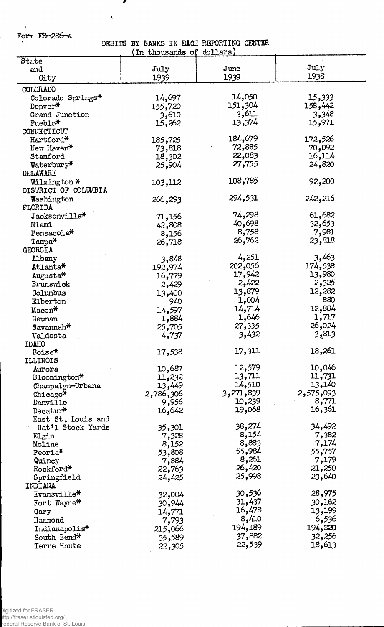Form  $FR-286-a$ 

 $\overline{a}$ 

DEBITS BY BANKS IN EACH REPORTING CENTER

7

 $\bar{\epsilon}$ 

|                                 | In thousands of dollars) |           |           |
|---------------------------------|--------------------------|-----------|-----------|
| State                           |                          |           |           |
| and                             | July                     | June      | July      |
| City                            | 1939                     | 1939      | 1938      |
| COLORADO                        |                          |           |           |
| Colorado Springs*               | 14,697                   | 14,050    | 15,333    |
| Denver*                         | 155,720                  | 151,304   | 158,442   |
| Grand Junction                  | 3,610                    | 3,611     | 3,348     |
| Pueblo*                         | 15,262                   | 13,374    | 15,971    |
| CONNECTICUT                     |                          |           |           |
| Hartford*                       |                          | 184,679   | 172,526   |
|                                 | 185,725                  | 72,885    |           |
| New Haven*                      | 73,818                   | 22,083    | 70,092    |
| Stamford                        | 18,302                   | 27,755    | 16,114    |
| Waterbury*                      | 25,904                   |           | 24,820    |
| DELAWARE                        |                          |           |           |
| Wilmington *                    | 103,112                  | 108,785   | 92,200    |
| DISTRICT OF COLUMBIA            |                          |           |           |
| Washington                      | 266,293                  | 294,531   | 242,216   |
| FLORIDA                         |                          |           |           |
| Jacksonville*                   | 71,156                   | 74,298    | 61,682    |
| Miami                           | 42,808                   | 40,698    | 32,653    |
| Pensacola*                      | 8,156                    | 8,758     | 7,981     |
| Tampa*                          | 26,718                   | 26,762    | 23,818    |
| GEORGIA                         |                          |           |           |
| Albany                          | 3,848                    | 4,251     | 3,463     |
| Atlanta*                        | 192,974                  | 202,056   | 174,538   |
| Augusta <sup>*</sup>            | 16,779                   | 17,942    | 13,980    |
| Brunswick                       | 2,429                    | 2,422     | 2,325     |
| Columbus                        | 13,400                   | 13,879    | 12,282    |
| Elberton                        | 940                      | 1,004     | 880       |
| Macon*                          | 14,597                   | 14,714    | 12,884    |
|                                 | 1,884                    | 1,646     | 1,717     |
| Newnan<br>Savannah <sup>*</sup> |                          | 27,335    | 26,024    |
|                                 | 25,705                   | 3,432     | 3,813     |
| Valdosta                        | 4,737                    |           |           |
| IDAHO                           |                          | 17,311    | 18,261    |
| Boise*                          | 17,538                   |           |           |
| ILLINOIS                        |                          | 12,579    | 10,046    |
| Aurora                          | 10,687                   | 13,711    | 11,731    |
| Bloomington*                    | 11,232                   |           | 13,140    |
| Champaign-Urbana                | 13,449                   | 14,510    |           |
| Chicago*                        | 2,786,306                | 3,271,839 | 2,575,093 |
| Danville                        | 9,956                    | 10,239    | 8,771     |
| Decatur*                        | 16,642                   | 19,068    | 16,361    |
| East St. Louis and              |                          |           |           |
| Nat'l Stock Yards               | 35,301                   | 38,274    | 34,492    |
| Elgin                           | 7,328                    | 8,154     | 7,382     |
| Moline                          | 8,152                    | 8,883     | 7,174     |
| Peoria*                         | 53,808                   | 55,984    | 55,757    |
| Quincy                          | 7,884                    | 8,261     | 7,179     |
| Rockford*                       | 22,763                   | 26,420    | 21,250    |
| Springfield                     | 24,425                   | 25,998    | 23,640    |
| INDIANA                         |                          |           |           |
| Evansville*                     | 32,004                   | 30,536    | 28,975    |
| Fort Wayne*                     | 30,944                   | 31,437    | 30,162    |
| Gary                            | 14,771                   | 16,478    | 13,199    |
| Hammond                         | 7,793                    | 8,410     | 6,536     |
| Indianapolis <del>*</del>       | 215,066                  | 194,189   | 194,320   |
| South Bend*                     | 589و35                   | 37,882    | 32,256    |
| Terre Haute                     | 22,305                   | 22,539    | 18,613    |
|                                 |                          |           |           |

 $\mathcal{A}$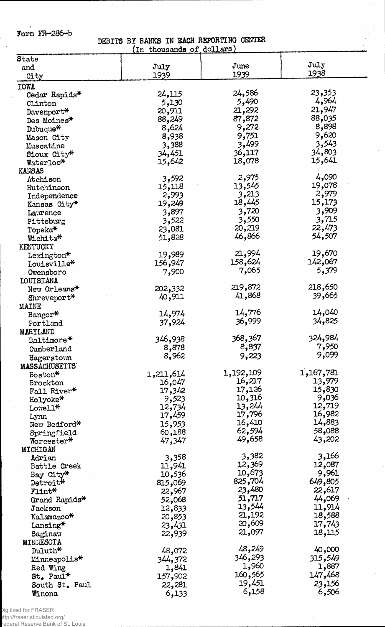Form FR-286-b

 $\epsilon$ 

÷.

DEBITS BY BANKS IN EACH REPORTING CENTER (in thousands of dollars)

|                      | (In thousands of dollars) |           |           |
|----------------------|---------------------------|-----------|-----------|
| <b>State</b>         |                           |           |           |
| and                  | July                      | June      | July      |
| City                 | 1939                      | 1939      | 1938      |
| <b>TOAV</b>          |                           |           |           |
| Cedar Rapids*        | 24,115                    | 24,586    | 23,353    |
| Clinton              | 5,130                     | 5,490     | 4,964     |
| Davenport*           | 20,911                    | 21,292    | 21,947    |
| Des Moines*          | 88,249                    | 87,872    | 88,035    |
| Dubuque*             | 8,624                     | 9,272     | 8,898     |
| Mason City           | 8,938                     | 9,751     | 9,620     |
| Muscatine            | 3,388                     | 3,499     | 3,543     |
| Sioux City*          | 34,451                    | 36,117    | 34,803    |
| Waterloo*            | 15,642                    | 18,078    | 15,641    |
| <b>KANSAS</b>        |                           |           |           |
| Atchison             | 3,592                     | 2,975     | 4,090     |
| Hutchinson           | 15,118                    | 13,545    | 19,078    |
| Independence         | 2,993                     | 3,213     | 2,979     |
| Kansas City*         | 19,249                    | 18,445    | 15,173    |
| Lawrence             | 3,897                     | 3,720     | 3,909     |
| Pittsburg            | 3,522                     | 3,550     | 3,715     |
|                      | 23,081                    | 20,219    | 22,473    |
| Topeka*              | 51,828                    | 46,866    | 54,507    |
| Wichita*             |                           |           |           |
| KENTUCKY             |                           | 21,994    | 19,670    |
| Lexington*           | 19,989                    | 158,624   | 142,067   |
| Louisville*          | 156,947                   | 7,065     | 5,379     |
| Owensboro            | 7,900                     |           |           |
| LOUISIANA            |                           | 219,872   | 218,650   |
| New Orleans*         | 202,332                   | 41,868    | 39,665    |
| Shreveport*          | 40,911                    |           |           |
| <b>MAINE</b>         |                           |           |           |
| Bangor*              | 14,974                    | 14,776    | 14,040    |
| Portland             | 37,924                    | 36,999    | 34,825    |
| MARYLAND             |                           |           |           |
| Baltimore*           | 346,938                   | 368,367   | 324,984   |
| Cumberland           | 8,878                     | 8,837     | 7,950     |
| Hagerstown           | 8,962                     | 9,223     | 9,099     |
| <b>MASSACHUSETTS</b> |                           |           |           |
| Boston*              | 1,211,614                 | 1,192,109 | 1,167,781 |
| Brockton             | 16,047                    | 16,217    | 13,979    |
| Fall River*          | 17,342                    | 17,126    | 15,830    |
| Holyoke*             | 9,523                     | 10,316    | 9,036     |
| Lotrel1*             | 12,734                    | 13,244    | 12,719    |
| Lynn                 | 17,459                    | 17,796    | 16,982    |
| New Bedford*         | 15,953                    | 16,410    | 14,883    |
| Springfield          | 60,188                    | 62,594    | 58,088    |
| Worcester*           | 47,347                    | 49,658    | 43,202    |
| MICHIGAN             |                           |           |           |
| Adrian               | 3,358                     | 3,382     | 3,166     |
| Battle Creek         | 11,941                    | 12,369    | 12,087    |
| Bay City*            | 10,536                    | 10,673    | 9,961     |
| Detroit*             | 815,069                   | 825,704   | 649,805   |
| $\text{F1int}^*$     | 22,967                    | 23,480    | 22,617    |
| Grand Rapids*        | 52,068                    | 51,717    | 44,069    |
| Jackson              | 12,833                    | 13,544    | 11,914    |
| Kalamazoo*           | 20,853                    | 21,192    | 18,588    |
| Lansing*             | 23,431                    | 20,609    | 17,743    |
| Saginaw              | 22,939                    | 21,097    | 18,115    |
| MINNESOTA            |                           |           |           |
| Duluth*              | 48,072                    | 48,249    | 40,000    |
| Minneapolis*         | 344,372                   | 346,293   | 315,549   |
| Red Wing             | 1,841                     | 1,960     | 1,887     |
| $St_{\bullet}$ Paul* | 157,902                   | 160,565   | 147,468   |
| South St. Paul       | 22,281                    | 19,451    | 23,156    |
| Winona               | 6,133                     | 6,158     | 6,506     |
|                      |                           |           |           |

Digitized for FRASER http://fraser.stlouisfed.org/

Federal Reserve Bank of St. Louis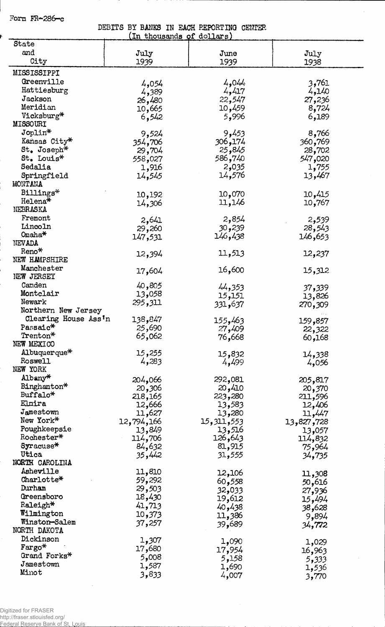Form FR-286-c

DEBITS BY BANKS IN EACH REPORTING CENTER

|                      |            | In thousands of dollars) |            |
|----------------------|------------|--------------------------|------------|
| State                |            |                          |            |
| and                  | July       | June                     | July       |
| City                 | 1939       | 1939                     | 1938       |
| MISSISSIPPI          |            |                          |            |
| Greenville           |            | 4,044                    | 3,761      |
| Hattiesburg          | 4,054      | 4,417                    | 4,140      |
| Jackson              | 4,389      | 22,547                   | 27,236     |
| Meridian             | 26,480     | 10,459                   |            |
| Vicksburg*           | 10,665     |                          | 8,724      |
| MISSOURI             | 6,542      | 5,996                    | 6,189      |
| Joplin*              |            | 9,453                    | 8,766      |
| Kansas City*         | 9,524      |                          |            |
| St. Joseph*          | 354,706    | 174و 306                 | 360,769    |
|                      | 29,704     | 25,845                   | 28,702     |
| St. Louis*           | 558,027    | 586,740                  | 547,020    |
| Sedalia              | 1,916      | 2,035                    | 1,755      |
| Springfield          | 14,545     | 14,576                   | 13,467     |
| MONTANA              |            |                          |            |
| Billings*            | 10,192     | 10,070                   | 10,415     |
| Helena*              | 14,306     | 11,146                   | 10,767     |
| NEBRASKA             |            |                          |            |
| Fremont              | 2,641      | 2,854                    | 2,539      |
| Lincoln              | 29,260     | 30,239                   | 28,543     |
| $On a ha*$           | 147,531    | 146,438                  | 146,653    |
| NEVADA               |            |                          |            |
| Reno*                | 12,394     | 11,513                   | 12,237     |
| NEW HAMPSHIRE        |            |                          |            |
| Manchester           | 17,604     | 16,600                   | 15,312     |
| NEW JERSEY           |            |                          |            |
| Camden               | 40,805     | 44,353                   | 37,339     |
| Montclair            | 13,058     | 15,151                   | 13,826     |
| Newark               | 295,311    | 331,637                  | 270,309    |
| Northern New Jersey  |            |                          |            |
| Clearing House Ass'n | 138,847    | 155,463                  | 159,857    |
| Passaic*             | 25,690     | 27,409                   | 22,322     |
| Trenton*             | 65,062     | 76,668                   | 60,168     |
| NEW MEXICO           |            |                          |            |
| Albuquerque*         | 15,255     | 15,832                   | 14,338     |
| Roswell              | 4,283      | 4,499                    | 4,056      |
| NEW YORK             |            |                          |            |
| Albany*              | 204,066    | 292,081                  | 205,817    |
| Binghamton*          | 20,306     | 20,410                   | 20,370     |
| Buffalo*             | 218,165    | 223,280                  | 211,596    |
| Elmira               | 12,666     | 13,583                   | 12,406     |
| Jamestown            | 11,627     | 13,280                   | 11,447     |
| New York*            | 12,794,166 | 15,311,553               | 13,827,728 |
| Poughkeepsie         | 13,849     | 13,516                   | 13,057     |
| Rochester*           | 114,706    | 126,643                  | 114,832    |
| Syracuse*            | 84,632     | 81,915                   | 75,964     |
| Utica                | 35,442     | 31,555                   | 34,735     |
| NORTH CAROLINA       |            |                          |            |
| Asheville            | 11,810     | 12,106                   | 11,308     |
| Charlotte*           | 59,292     | 558و60                   | 50,616     |
| Durham               | 29,503     | 32,033                   | 27,936     |
| Greensboro           | 18,430     | 19,612                   | 15,494     |
| Raleigh*             | 41,713     | 40,438                   | 38,628     |
| Wilmington           | 10,373     | 11,386                   | 9,894      |
| Winston-Salem        | 37,257     | 39,689                   |            |
| NORTH DAKOTA         |            |                          | 34,772     |
| Dickinson            | 1,307      | 1,090                    |            |
| Fargo*               | 17,680     |                          | 1,029      |
| Grand Forks*         | 5,008      | 17,954                   | 16,963     |
| Jamestown            | 1,587      | 5,158                    | 5,333      |
| Minot                | 3,833      | 1,690                    | 1,536      |
|                      |            | 4,007                    | 3,770      |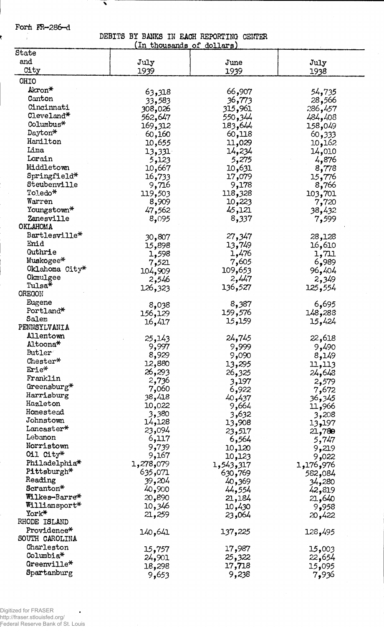Form FR-286-d

t

i,

 $\overline{\bullet}$ 

DEBITS BY BANKS IN EACH REPORTING CENTER<br>(In thousands of dollars)

|                       | TIL nundealme of doller a) |                |                 |
|-----------------------|----------------------------|----------------|-----------------|
| State                 |                            |                |                 |
| and                   | July                       | June           | July            |
| City                  | 1939                       | 1939           | 1938            |
|                       |                            |                |                 |
| OHIO                  |                            |                |                 |
| Akron*                | 63,318                     | 66,907         | 54 <b>,</b> 735 |
| Canton                | 33,583                     | 36 <b>,773</b> | 28,566          |
| Cincinnati            | 308,026                    | 315,961        | 286,457         |
| Cleveland*            |                            | 550,344        |                 |
| Columbus*             | 562,647                    |                | 484,408         |
|                       | 169,312                    | 183,644        | 158,049         |
| Dayton*               | 60,160                     | 60,118         | 60,333          |
| Hamilton              | 10,655                     | 11,029         | 10,162          |
| Lima                  | 13,331                     | 14,234         | 14,010          |
| Lorain                | 5,123                      | 5,275          | 4,876           |
| Middletown            | 10,667                     | 10,631         | 8,778           |
| Springfield*          | 16,733                     | 17,079         | 15,776          |
| Steubenville          | 9,716                      | 9,178          | 8,766           |
| Toledo*               |                            |                |                 |
|                       | 119,503                    | 118,328        | 103,701         |
| Warren                | 8,909                      | 10,223         | 7,720           |
| Youngstown*           | 47,562                     | 45,121         | 38,432          |
| Zanesville            | 8,095                      | 8,337          | 7,599           |
| <b>OKLAHOMA</b>       |                            |                |                 |
| Bartlesville*         | 30,807                     | 27,347         | 28,128          |
| Enid                  | 15,898                     | 13,749         | 16,610          |
| Guthrie               | 1,598                      | 1,476          | 1,711           |
| Muskogee*             |                            |                |                 |
| Oklahoma City*        | 7,521                      | 7,605          | 6,989           |
|                       | 104,909                    | 109,653        | 96,404          |
| Okmulgee              | 2,546                      | 2,447          | 2,349           |
| Tulsa*                | 126,323                    | 136,527        | 125,554         |
| OREGON                |                            |                |                 |
| Eugene                | 8,038                      | 8,387          | 6,695           |
| Portland*             | 156,129                    | 159,576        | 148,288         |
| Salem                 | 16,417                     | 15,159         | 15,424          |
| PENNSYLVANIA          |                            |                |                 |
| Allentown             |                            |                |                 |
| Altoona*              | 25,143                     | 24,745         | 22,618          |
| Butler                | 9,997                      | 9,999          | 9,490           |
| ${\tt Chester*}$      | 8,929                      | 9,090          | 8,149           |
|                       | 12,880                     | 13,295         | 11,113          |
| Erie*                 | 26,293                     | 26,325         | 24,648          |
| Franklin              | 2,736                      | 3,197          | 2,579           |
| Greensburg*           | 7,060                      | 6,922          | 7,672           |
| Harrisburg            | 38,418                     | 40,437         | 36,345          |
| Hazleton              | 10,022                     | 9,664          | 11,966          |
| Homestead             | 3,380                      | 3,632          | 3,208           |
| Johnstown             |                            |                |                 |
| Lancaster*            | 14,128                     | 13,908         | 13,197          |
| Lebanon               | 23,094                     | 23,517         | 21,780          |
|                       | 6,117                      | 6,564          | 5,747           |
| Norristown            | 9,739                      | 10,120         | 9,219           |
| Oil City*             | 9,167                      | 10,123         | 9,022           |
| Philadelphia*         | 1,278,079                  | 1,543,317      | 1,176,976       |
| Pittsburgh*           | 635,071                    | 630,769        | 582,084         |
| Reading               | 39,204                     | 40,369         | 280, 34         |
| Scranton*             | 40,900                     | 44,554         | 42,819          |
| Wilkes-Barre*         | 20,890                     |                |                 |
| Williamsport*         |                            | 21,184         | 21,640          |
| York*                 | 10,346                     | 10,430         | 9,958           |
|                       | 21,259                     | 23,064         | 20,422          |
| RHODE ISLAND          |                            |                |                 |
| Providence*           | 140,641                    | 137,225        | 128,495         |
| SOUTH CAROLINA        |                            |                |                 |
| Charleston            | 15,757                     | 17,987         | 15,003          |
| Columbia <sup>*</sup> | 24,901                     | 25,322         | 22,654          |
| Greenville*           | 18,298                     | 17,718         | 15,095          |
| Spartanburg           |                            |                |                 |
|                       | 9,653                      | 9,238          | 7,936           |